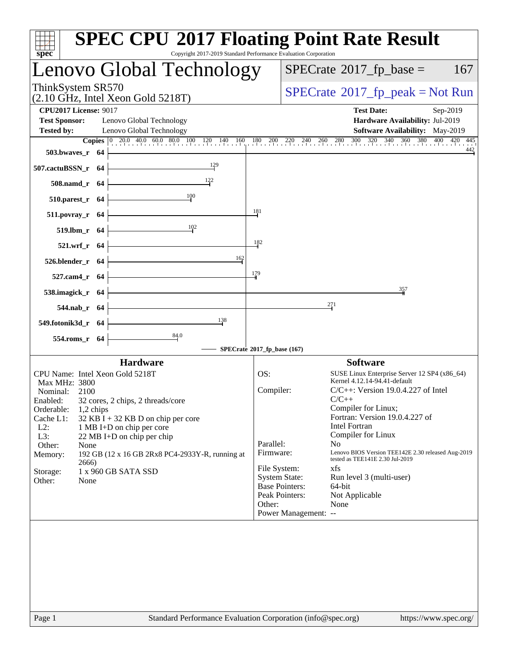| spec <sup>®</sup>                                                                                                                                                                                                                                                                                                                                                                                                                                  | <b>SPEC CPU®2017 Floating Point Rate Result</b><br>Copyright 2017-2019 Standard Performance Evaluation Corporation                                                                                                                                                                                                                                                                                                                                                                                                                                                                                   |
|----------------------------------------------------------------------------------------------------------------------------------------------------------------------------------------------------------------------------------------------------------------------------------------------------------------------------------------------------------------------------------------------------------------------------------------------------|------------------------------------------------------------------------------------------------------------------------------------------------------------------------------------------------------------------------------------------------------------------------------------------------------------------------------------------------------------------------------------------------------------------------------------------------------------------------------------------------------------------------------------------------------------------------------------------------------|
| Lenovo Global Technology                                                                                                                                                                                                                                                                                                                                                                                                                           | $SPECrate^{\circ}2017$ _fp_base =<br>167                                                                                                                                                                                                                                                                                                                                                                                                                                                                                                                                                             |
| ThinkSystem SR570<br>$(2.10 \text{ GHz}, \text{Intel Xeon Gold } 5218 \text{T})$                                                                                                                                                                                                                                                                                                                                                                   | $SPECrate^{\circ}2017$ [p_peak = Not Run                                                                                                                                                                                                                                                                                                                                                                                                                                                                                                                                                             |
| <b>CPU2017 License: 9017</b><br><b>Test Sponsor:</b><br>Lenovo Global Technology<br><b>Tested by:</b><br>Lenovo Global Technology<br>$503.bwaves_r$ 64<br>129                                                                                                                                                                                                                                                                                      | <b>Test Date:</b><br>Sep-2019<br>Hardware Availability: Jul-2019<br><b>Software Availability:</b> May-2019<br><b>Copies</b> $\begin{bmatrix} 0 & 20.0 & 40.0 & 60.0 & 80.0 & 100 & 120 & 140 & 160 & 180 & 200 & 220 & 240 & 260 & 280 & 300 & 320 & 340 & 360 & 380 & 400 & 420 & 445 \end{bmatrix}$<br>442                                                                                                                                                                                                                                                                                         |
| 507.cactuBSSN_r 64<br>508.namd_r 64<br>$\frac{100}{1}$<br>$510.parest_r$ 64<br>511.povray_r 64                                                                                                                                                                                                                                                                                                                                                     | 181                                                                                                                                                                                                                                                                                                                                                                                                                                                                                                                                                                                                  |
| 10 <sup>2</sup><br>519.lbm_r 64<br>521.wrf_r 64<br>162<br>526.blender_r 64<br>527.cam4_r 64                                                                                                                                                                                                                                                                                                                                                        | 182<br>179<br>357                                                                                                                                                                                                                                                                                                                                                                                                                                                                                                                                                                                    |
| 538.imagick_r 64<br>544.nab_r 64<br>138<br>549.fotonik3d_r 64<br>$\frac{84.0}{4}$<br>554.roms_r 64                                                                                                                                                                                                                                                                                                                                                 | 271<br>SPECrate®2017_fp_base (167)                                                                                                                                                                                                                                                                                                                                                                                                                                                                                                                                                                   |
| <b>Hardware</b><br>CPU Name: Intel Xeon Gold 5218T<br>Max MHz: 3800<br>Nominal:<br>2100<br>Enabled:<br>32 cores, 2 chips, 2 threads/core<br>Orderable:<br>1,2 chips<br>Cache L1:<br>$32$ KB I + 32 KB D on chip per core<br>$L2$ :<br>1 MB I+D on chip per core<br>L3:<br>22 MB I+D on chip per chip<br>Other:<br>None<br>Memory:<br>192 GB (12 x 16 GB 2Rx8 PC4-2933Y-R, running at<br>2666)<br>1 x 960 GB SATA SSD<br>Storage:<br>Other:<br>None | <b>Software</b><br>OS:<br>SUSE Linux Enterprise Server 12 SP4 (x86_64)<br>Kernel 4.12.14-94.41-default<br>Compiler:<br>$C/C++$ : Version 19.0.4.227 of Intel<br>$C/C++$<br>Compiler for Linux;<br>Fortran: Version 19.0.4.227 of<br><b>Intel Fortran</b><br>Compiler for Linux<br>Parallel:<br>No.<br>Lenovo BIOS Version TEE142E 2.30 released Aug-2019<br>Firmware:<br>tested as TEE141E 2.30 Jul-2019<br>File System:<br>xfs<br><b>System State:</b><br>Run level 3 (multi-user)<br><b>Base Pointers:</b><br>64-bit<br>Peak Pointers:<br>Not Applicable<br>Other:<br>None<br>Power Management: -- |
| Page 1                                                                                                                                                                                                                                                                                                                                                                                                                                             | Standard Performance Evaluation Corporation (info@spec.org)<br>https://www.spec.org/                                                                                                                                                                                                                                                                                                                                                                                                                                                                                                                 |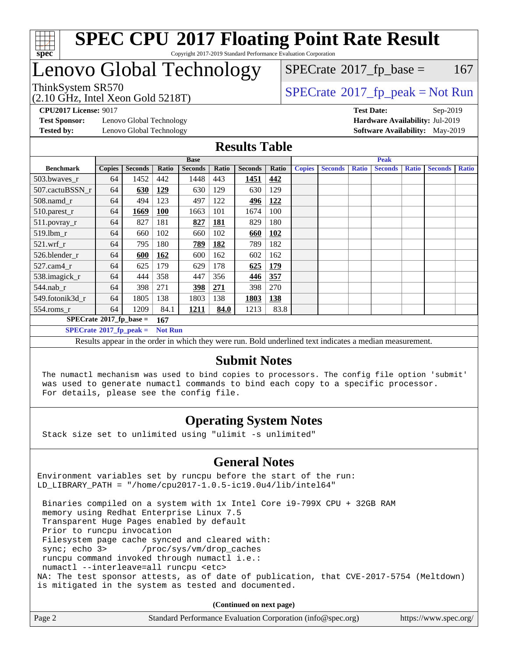

#### **[SPEC CPU](http://www.spec.org/auto/cpu2017/Docs/result-fields.html#SPECCPU2017FloatingPointRateResult)[2017 Floating Point Rate Result](http://www.spec.org/auto/cpu2017/Docs/result-fields.html#SPECCPU2017FloatingPointRateResult)** Copyright 2017-2019 Standard Performance Evaluation Corporation

### Lenovo Global Technology

 $SPECTate$ <sup>®</sup>[2017\\_fp\\_base =](http://www.spec.org/auto/cpu2017/Docs/result-fields.html#SPECrate2017fpbase) 167

(2.10 GHz, Intel Xeon Gold 5218T)

 $SPECTate@2017_fp\_peak = Not Run$ 

**[Test Sponsor:](http://www.spec.org/auto/cpu2017/Docs/result-fields.html#TestSponsor)** Lenovo Global Technology **[Hardware Availability:](http://www.spec.org/auto/cpu2017/Docs/result-fields.html#HardwareAvailability)** Jul-2019

**[CPU2017 License:](http://www.spec.org/auto/cpu2017/Docs/result-fields.html#CPU2017License)** 9017 **[Test Date:](http://www.spec.org/auto/cpu2017/Docs/result-fields.html#TestDate)** Sep-2019 **[Tested by:](http://www.spec.org/auto/cpu2017/Docs/result-fields.html#Testedby)** Lenovo Global Technology **[Software Availability:](http://www.spec.org/auto/cpu2017/Docs/result-fields.html#SoftwareAvailability)** May-2019

#### **[Results Table](http://www.spec.org/auto/cpu2017/Docs/result-fields.html#ResultsTable)**

|                                   | <b>Base</b>   |                |                |                |            | <b>Peak</b>    |            |               |                |              |                |              |                |              |
|-----------------------------------|---------------|----------------|----------------|----------------|------------|----------------|------------|---------------|----------------|--------------|----------------|--------------|----------------|--------------|
| <b>Benchmark</b>                  | <b>Copies</b> | <b>Seconds</b> | Ratio          | <b>Seconds</b> | Ratio      | <b>Seconds</b> | Ratio      | <b>Copies</b> | <b>Seconds</b> | <b>Ratio</b> | <b>Seconds</b> | <b>Ratio</b> | <b>Seconds</b> | <b>Ratio</b> |
| 503.bwayes_r                      | 64            | 1452           | 442            | 1448           | 443        | 1451           | 442        |               |                |              |                |              |                |              |
| 507.cactuBSSN r                   | 64            | 630            | <u>129</u>     | 630            | 129        | 630            | 129        |               |                |              |                |              |                |              |
| $508$ .namd $r$                   | 64            | 494            | 123            | 497            | 122        | 496            | 122        |               |                |              |                |              |                |              |
| 510.parest_r                      | 64            | 1669           | <b>100</b>     | 1663           | 101        | 1674           | 100        |               |                |              |                |              |                |              |
| $511.$ povray_r                   | 64            | 827            | 181            | 827            | <b>181</b> | 829            | 180        |               |                |              |                |              |                |              |
| 519.lbm r                         | 64            | 660            | 102            | 660            | 102        | 660            | <b>102</b> |               |                |              |                |              |                |              |
| $521$ .wrf r                      | 64            | 795            | 180            | 789            | <b>182</b> | 789            | 182        |               |                |              |                |              |                |              |
| 526.blender r                     | 64            | 600            | <u>162</u>     | 600            | 162        | 602            | 162        |               |                |              |                |              |                |              |
| $527$ .cam $4r$                   | 64            | 625            | 179            | 629            | 178        | 625            | <u>179</u> |               |                |              |                |              |                |              |
| 538.imagick_r                     | 64            | 444            | 358            | 447            | 356        | 446            | 357        |               |                |              |                |              |                |              |
| $544$ .nab r                      | 64            | 398            | 271            | <u>398</u>     | 271        | 398            | 270        |               |                |              |                |              |                |              |
| 549.fotonik3d r                   | 64            | 1805           | 138            | 1803           | 138        | 1803           | 138        |               |                |              |                |              |                |              |
| $554$ .roms_r                     | 64            | 1209           | 84.1           | 1211           | 84.0       | 1213           | 83.8       |               |                |              |                |              |                |              |
| $SPECrate*2017_fp\_base =$<br>167 |               |                |                |                |            |                |            |               |                |              |                |              |                |              |
| $SPECrate^{\circ}2017$ fp peak =  |               |                | <b>Not Run</b> |                |            |                |            |               |                |              |                |              |                |              |

Results appear in the [order in which they were run.](http://www.spec.org/auto/cpu2017/Docs/result-fields.html#RunOrder) Bold underlined text [indicates a median measurement.](http://www.spec.org/auto/cpu2017/Docs/result-fields.html#Median)

#### **[Submit Notes](http://www.spec.org/auto/cpu2017/Docs/result-fields.html#SubmitNotes)**

 The numactl mechanism was used to bind copies to processors. The config file option 'submit' was used to generate numactl commands to bind each copy to a specific processor. For details, please see the config file.

### **[Operating System Notes](http://www.spec.org/auto/cpu2017/Docs/result-fields.html#OperatingSystemNotes)**

Stack size set to unlimited using "ulimit -s unlimited"

### **[General Notes](http://www.spec.org/auto/cpu2017/Docs/result-fields.html#GeneralNotes)**

Environment variables set by runcpu before the start of the run: LD\_LIBRARY\_PATH = "/home/cpu2017-1.0.5-ic19.0u4/lib/intel64"

 Binaries compiled on a system with 1x Intel Core i9-799X CPU + 32GB RAM memory using Redhat Enterprise Linux 7.5 Transparent Huge Pages enabled by default Prior to runcpu invocation Filesystem page cache synced and cleared with: sync; echo 3> /proc/sys/vm/drop\_caches runcpu command invoked through numactl i.e.: numactl --interleave=all runcpu <etc> NA: The test sponsor attests, as of date of publication, that CVE-2017-5754 (Meltdown) is mitigated in the system as tested and documented.

**(Continued on next page)**

| Page 2<br>Standard Performance Evaluation Corporation (info@spec.org)<br>https://www.spec.org/ |
|------------------------------------------------------------------------------------------------|
|------------------------------------------------------------------------------------------------|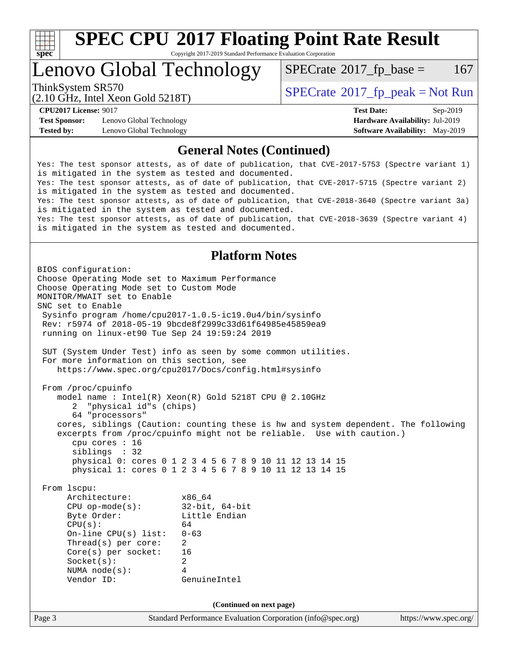

Copyright 2017-2019 Standard Performance Evaluation Corporation

Lenovo Global Technology

 $SPECTate$ <sup>®</sup>[2017\\_fp\\_base =](http://www.spec.org/auto/cpu2017/Docs/result-fields.html#SPECrate2017fpbase) 167

(2.10 GHz, Intel Xeon Gold 5218T)

ThinkSystem SR570<br>  $SPECTR_{12}$  [SPECrate](http://www.spec.org/auto/cpu2017/Docs/result-fields.html#SPECrate2017fppeak)®[2017\\_fp\\_peak = N](http://www.spec.org/auto/cpu2017/Docs/result-fields.html#SPECrate2017fppeak)ot Run

**[Test Sponsor:](http://www.spec.org/auto/cpu2017/Docs/result-fields.html#TestSponsor)** Lenovo Global Technology **[Hardware Availability:](http://www.spec.org/auto/cpu2017/Docs/result-fields.html#HardwareAvailability)** Jul-2019 **[Tested by:](http://www.spec.org/auto/cpu2017/Docs/result-fields.html#Testedby)** Lenovo Global Technology **[Software Availability:](http://www.spec.org/auto/cpu2017/Docs/result-fields.html#SoftwareAvailability)** May-2019

**[CPU2017 License:](http://www.spec.org/auto/cpu2017/Docs/result-fields.html#CPU2017License)** 9017 **[Test Date:](http://www.spec.org/auto/cpu2017/Docs/result-fields.html#TestDate)** Sep-2019

#### **[General Notes \(Continued\)](http://www.spec.org/auto/cpu2017/Docs/result-fields.html#GeneralNotes)**

Yes: The test sponsor attests, as of date of publication, that CVE-2017-5753 (Spectre variant 1) is mitigated in the system as tested and documented. Yes: The test sponsor attests, as of date of publication, that CVE-2017-5715 (Spectre variant 2) is mitigated in the system as tested and documented. Yes: The test sponsor attests, as of date of publication, that CVE-2018-3640 (Spectre variant 3a) is mitigated in the system as tested and documented. Yes: The test sponsor attests, as of date of publication, that CVE-2018-3639 (Spectre variant 4) is mitigated in the system as tested and documented.

#### **[Platform Notes](http://www.spec.org/auto/cpu2017/Docs/result-fields.html#PlatformNotes)**

Page 3 Standard Performance Evaluation Corporation [\(info@spec.org\)](mailto:info@spec.org) <https://www.spec.org/> BIOS configuration: Choose Operating Mode set to Maximum Performance Choose Operating Mode set to Custom Mode MONITOR/MWAIT set to Enable SNC set to Enable Sysinfo program /home/cpu2017-1.0.5-ic19.0u4/bin/sysinfo Rev: r5974 of 2018-05-19 9bcde8f2999c33d61f64985e45859ea9 running on linux-et90 Tue Sep 24 19:59:24 2019 SUT (System Under Test) info as seen by some common utilities. For more information on this section, see <https://www.spec.org/cpu2017/Docs/config.html#sysinfo> From /proc/cpuinfo model name : Intel(R) Xeon(R) Gold 5218T CPU @ 2.10GHz 2 "physical id"s (chips) 64 "processors" cores, siblings (Caution: counting these is hw and system dependent. The following excerpts from /proc/cpuinfo might not be reliable. Use with caution.) cpu cores : 16 siblings : 32 physical 0: cores 0 1 2 3 4 5 6 7 8 9 10 11 12 13 14 15 physical 1: cores 0 1 2 3 4 5 6 7 8 9 10 11 12 13 14 15 From lscpu: Architecture: x86\_64 CPU op-mode(s): 32-bit, 64-bit Byte Order: Little Endian  $CPU(s):$  64 On-line CPU(s) list: 0-63 Thread(s) per core: 2 Core(s) per socket: 16 Socket(s): 2 NUMA node(s): 4 Vendor ID: GenuineIntel **(Continued on next page)**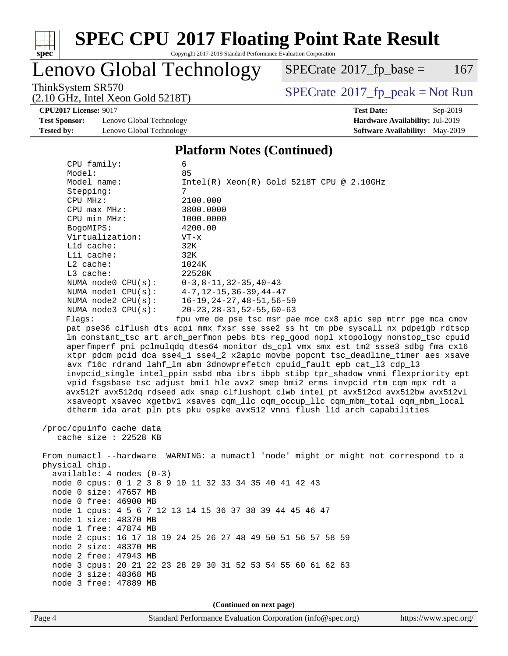

Copyright 2017-2019 Standard Performance Evaluation Corporation

### Lenovo Global Technology

 $SPECTate$ <sup>®</sup>[2017\\_fp\\_base =](http://www.spec.org/auto/cpu2017/Docs/result-fields.html#SPECrate2017fpbase) 167

(2.10 GHz, Intel Xeon Gold 5218T)

ThinkSystem SR570<br>(2.10 GHz, Intel Xeon Gold 5218T)  $\begin{array}{c} | \text{SPECrate} \textdegree 2017\_fp\_peak = Not Run \end{array}$  $\begin{array}{c} | \text{SPECrate} \textdegree 2017\_fp\_peak = Not Run \end{array}$  $\begin{array}{c} | \text{SPECrate} \textdegree 2017\_fp\_peak = Not Run \end{array}$ 

**[CPU2017 License:](http://www.spec.org/auto/cpu2017/Docs/result-fields.html#CPU2017License)** 9017 **[Test Date:](http://www.spec.org/auto/cpu2017/Docs/result-fields.html#TestDate)** Sep-2019

**[Test Sponsor:](http://www.spec.org/auto/cpu2017/Docs/result-fields.html#TestSponsor)** Lenovo Global Technology **[Hardware Availability:](http://www.spec.org/auto/cpu2017/Docs/result-fields.html#HardwareAvailability)** Jul-2019 **[Tested by:](http://www.spec.org/auto/cpu2017/Docs/result-fields.html#Testedby)** Lenovo Global Technology **[Software Availability:](http://www.spec.org/auto/cpu2017/Docs/result-fields.html#SoftwareAvailability)** May-2019

### **[Platform Notes \(Continued\)](http://www.spec.org/auto/cpu2017/Docs/result-fields.html#PlatformNotes)**

 CPU family: 6 Model: 85 Model name:  $Intel(R)$  Xeon(R) Gold 5218T CPU @ 2.10GHz Stepping: 7 CPU MHz: 2100.000 CPU max MHz: 3800.0000 CPU min MHz: 1000.0000 BogoMIPS: 4200.00 Virtualization: VT-x L1d cache: 32K L1i cache: 32K L2 cache: 1024K L3 cache: 22528K NUMA node0 CPU(s): 0-3,8-11,32-35,40-43 NUMA node1 CPU(s): 4-7,12-15,36-39,44-47 NUMA node2 CPU(s): 16-19,24-27,48-51,56-59 NUMA node3 CPU(s): 20-23,28-31,52-55,60-63 Flags: fpu vme de pse tsc msr pae mce cx8 apic sep mtrr pge mca cmov pat pse36 clflush dts acpi mmx fxsr sse sse2 ss ht tm pbe syscall nx pdpe1gb rdtscp lm constant\_tsc art arch\_perfmon pebs bts rep\_good nopl xtopology nonstop\_tsc cpuid aperfmperf pni pclmulqdq dtes64 monitor ds\_cpl vmx smx est tm2 ssse3 sdbg fma cx16 xtpr pdcm pcid dca sse4\_1 sse4\_2 x2apic movbe popcnt tsc\_deadline\_timer aes xsave avx f16c rdrand lahf\_lm abm 3dnowprefetch cpuid\_fault epb cat\_l3 cdp\_l3 invpcid\_single intel\_ppin ssbd mba ibrs ibpb stibp tpr\_shadow vnmi flexpriority ept vpid fsgsbase tsc\_adjust bmi1 hle avx2 smep bmi2 erms invpcid rtm cqm mpx rdt\_a avx512f avx512dq rdseed adx smap clflushopt clwb intel\_pt avx512cd avx512bw avx512vl

 /proc/cpuinfo cache data cache size : 22528 KB

 From numactl --hardware WARNING: a numactl 'node' might or might not correspond to a physical chip. available: 4 nodes (0-3) node 0 cpus: 0 1 2 3 8 9 10 11 32 33 34 35 40 41 42 43 node 0 size: 47657 MB node 0 free: 46900 MB node 1 cpus: 4 5 6 7 12 13 14 15 36 37 38 39 44 45 46 47 node 1 size: 48370 MB node 1 free: 47874 MB node 2 cpus: 16 17 18 19 24 25 26 27 48 49 50 51 56 57 58 59 node 2 size: 48370 MB node 2 free: 47943 MB node 3 cpus: 20 21 22 23 28 29 30 31 52 53 54 55 60 61 62 63 node 3 size: 48368 MB node 3 free: 47889 MB

xsaveopt xsavec xgetbv1 xsaves cqm\_llc cqm\_occup\_llc cqm\_mbm\_total cqm\_mbm\_local

dtherm ida arat pln pts pku ospke avx512\_vnni flush\_l1d arch\_capabilities

**(Continued on next page)**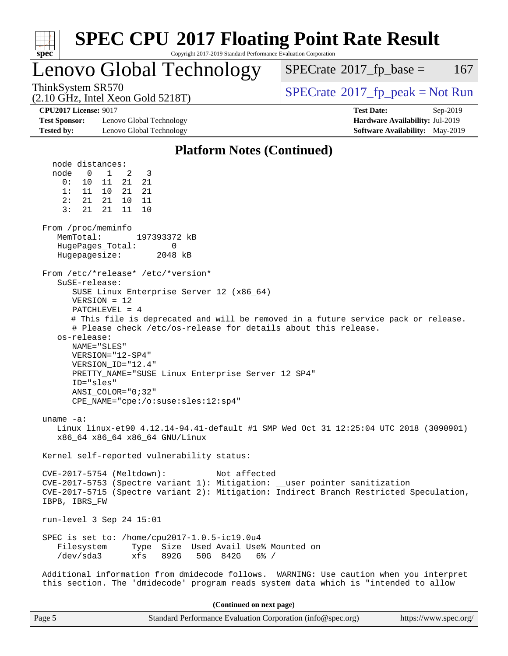| spec <sup>®</sup>                                                                                                                       | <b>SPEC CPU®2017 Floating Point Rate Result</b><br>Copyright 2017-2019 Standard Performance Evaluation Corporation                                                                                                                                                                                                                                                       |                                                                                                     |
|-----------------------------------------------------------------------------------------------------------------------------------------|--------------------------------------------------------------------------------------------------------------------------------------------------------------------------------------------------------------------------------------------------------------------------------------------------------------------------------------------------------------------------|-----------------------------------------------------------------------------------------------------|
|                                                                                                                                         | Lenovo Global Technology                                                                                                                                                                                                                                                                                                                                                 | $SPECrate^{\circ}2017$ _fp_base =<br>167                                                            |
| ThinkSystem SR570                                                                                                                       | $(2.10 \text{ GHz}, \text{Intel Xeon Gold } 5218 \text{T})$                                                                                                                                                                                                                                                                                                              | $SPECrate^{\circ}2017rfp peak = Not Run$                                                            |
| <b>CPU2017 License: 9017</b><br><b>Test Sponsor:</b><br><b>Tested by:</b>                                                               | Lenovo Global Technology<br>Lenovo Global Technology                                                                                                                                                                                                                                                                                                                     | <b>Test Date:</b><br>Sep-2019<br>Hardware Availability: Jul-2019<br>Software Availability: May-2019 |
|                                                                                                                                         | <b>Platform Notes (Continued)</b>                                                                                                                                                                                                                                                                                                                                        |                                                                                                     |
| node distances:<br>node<br>$\Omega$<br>0:<br>10<br>1: 11 10<br>2:<br>21<br>3:<br>21<br>From /proc/meminfo<br>MemTotal:<br>Hugepagesize: | 1<br>2<br>3<br>21<br>21<br>11<br>21 21<br>21<br>10 11<br>21<br>11<br>10<br>197393372 kB<br>HugePages_Total:<br>0<br>2048 kB                                                                                                                                                                                                                                              |                                                                                                     |
| $S$ uSE-release:<br>os-release:<br>ID="sles"                                                                                            | From /etc/*release* /etc/*version*<br>SUSE Linux Enterprise Server 12 (x86_64)<br>$VERSION = 12$<br>$PATCHLEVEL = 4$<br># Please check /etc/os-release for details about this release.<br>NAME="SLES"<br>$VERSION = "12-SP4"$<br>VERSION_ID="12.4"<br>PRETTY_NAME="SUSE Linux Enterprise Server 12 SP4"<br>$ANSI\_COLOR = "0; 32"$<br>CPE NAME="cpe:/o:suse:sles:12:sp4" | # This file is deprecated and will be removed in a future service pack or release.                  |
| uname $-a$ :                                                                                                                            | x86_64 x86_64 x86_64 GNU/Linux                                                                                                                                                                                                                                                                                                                                           | Linux linux-et90 4.12.14-94.41-default #1 SMP Wed Oct 31 12:25:04 UTC 2018 (3090901)                |
|                                                                                                                                         | Kernel self-reported vulnerability status:                                                                                                                                                                                                                                                                                                                               |                                                                                                     |
| IBPB, IBRS_FW                                                                                                                           | CVE-2017-5754 (Meltdown):<br>Not affected<br>CVE-2017-5753 (Spectre variant 1): Mitigation: __user pointer sanitization                                                                                                                                                                                                                                                  | CVE-2017-5715 (Spectre variant 2): Mitigation: Indirect Branch Restricted Speculation,              |
|                                                                                                                                         | run-level 3 Sep 24 15:01                                                                                                                                                                                                                                                                                                                                                 |                                                                                                     |
| Filesystem<br>/dev/sda3                                                                                                                 | SPEC is set to: /home/cpu2017-1.0.5-ic19.0u4<br>Type Size Used Avail Use% Mounted on<br>xfs 892G<br>50G 842G 6% /                                                                                                                                                                                                                                                        |                                                                                                     |
|                                                                                                                                         | this section. The 'dmidecode' program reads system data which is "intended to allow                                                                                                                                                                                                                                                                                      | Additional information from dmidecode follows. WARNING: Use caution when you interpret              |
|                                                                                                                                         | (Continued on next page)                                                                                                                                                                                                                                                                                                                                                 |                                                                                                     |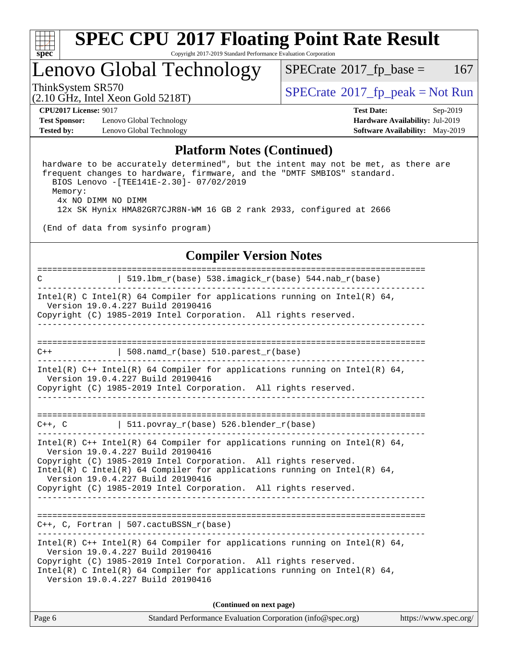

#### **[SPEC CPU](http://www.spec.org/auto/cpu2017/Docs/result-fields.html#SPECCPU2017FloatingPointRateResult)[2017 Floating Point Rate Result](http://www.spec.org/auto/cpu2017/Docs/result-fields.html#SPECCPU2017FloatingPointRateResult)** Copyright 2017-2019 Standard Performance Evaluation Corporation

### Lenovo Global Technology

 $SPECTate$ <sup>®</sup>[2017\\_fp\\_base =](http://www.spec.org/auto/cpu2017/Docs/result-fields.html#SPECrate2017fpbase) 167

(2.10 GHz, Intel Xeon Gold 5218T)

ThinkSystem SR570<br>  $SPECTR_{10}$  [SPECrate](http://www.spec.org/auto/cpu2017/Docs/result-fields.html#SPECrate2017fppeak)®[2017\\_fp\\_peak = N](http://www.spec.org/auto/cpu2017/Docs/result-fields.html#SPECrate2017fppeak)ot Run

**[Test Sponsor:](http://www.spec.org/auto/cpu2017/Docs/result-fields.html#TestSponsor)** Lenovo Global Technology **[Hardware Availability:](http://www.spec.org/auto/cpu2017/Docs/result-fields.html#HardwareAvailability)** Jul-2019 **[Tested by:](http://www.spec.org/auto/cpu2017/Docs/result-fields.html#Testedby)** Lenovo Global Technology **[Software Availability:](http://www.spec.org/auto/cpu2017/Docs/result-fields.html#SoftwareAvailability)** May-2019

**[CPU2017 License:](http://www.spec.org/auto/cpu2017/Docs/result-fields.html#CPU2017License)** 9017 **[Test Date:](http://www.spec.org/auto/cpu2017/Docs/result-fields.html#TestDate)** Sep-2019

#### **[Platform Notes \(Continued\)](http://www.spec.org/auto/cpu2017/Docs/result-fields.html#PlatformNotes)**

 hardware to be accurately determined", but the intent may not be met, as there are frequent changes to hardware, firmware, and the "DMTF SMBIOS" standard. BIOS Lenovo -[TEE141E-2.30]- 07/02/2019 Memory: 4x NO DIMM NO DIMM 12x SK Hynix HMA82GR7CJR8N-WM 16 GB 2 rank 2933, configured at 2666

(End of data from sysinfo program)

#### **[Compiler Version Notes](http://www.spec.org/auto/cpu2017/Docs/result-fields.html#CompilerVersionNotes)**

============================================================================== C | 519.lbm\_r(base) 538.imagick\_r(base) 544.nab\_r(base) ------------------------------------------------------------------------------ Intel(R) C Intel(R) 64 Compiler for applications running on Intel(R) 64, Version 19.0.4.227 Build 20190416 Copyright (C) 1985-2019 Intel Corporation. All rights reserved. ------------------------------------------------------------------------------ ==============================================================================  $C++$  | 508.namd\_r(base) 510.parest\_r(base) ------------------------------------------------------------------------------ Intel(R) C++ Intel(R) 64 Compiler for applications running on Intel(R) 64, Version 19.0.4.227 Build 20190416 Copyright (C) 1985-2019 Intel Corporation. All rights reserved. ------------------------------------------------------------------------------ ==============================================================================  $C++$ , C  $| 511.povray_r(base) 526.blender_r(base)$ ------------------------------------------------------------------------------ Intel(R) C++ Intel(R) 64 Compiler for applications running on Intel(R) 64, Version 19.0.4.227 Build 20190416 Copyright (C) 1985-2019 Intel Corporation. All rights reserved. Intel(R) C Intel(R) 64 Compiler for applications running on Intel(R)  $64$ , Version 19.0.4.227 Build 20190416 Copyright (C) 1985-2019 Intel Corporation. All rights reserved. ------------------------------------------------------------------------------ ============================================================================== C++, C, Fortran | 507.cactuBSSN\_r(base) ------------------------------------------------------------------------------ Intel(R) C++ Intel(R) 64 Compiler for applications running on Intel(R)  $64$ , Version 19.0.4.227 Build 20190416 Copyright (C) 1985-2019 Intel Corporation. All rights reserved. Intel(R) C Intel(R) 64 Compiler for applications running on Intel(R)  $64$ , Version 19.0.4.227 Build 20190416 **(Continued on next page)**

| Page 6 | Standard Performance Evaluation Corporation (info@spec.org) | https://www.spec.org/ |
|--------|-------------------------------------------------------------|-----------------------|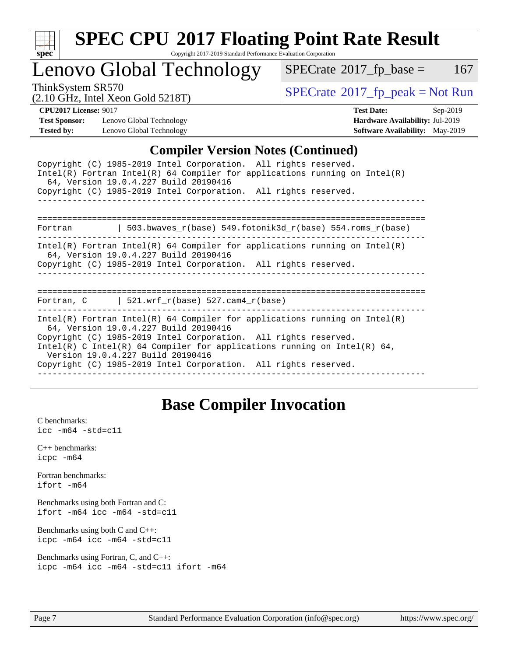

Copyright 2017-2019 Standard Performance Evaluation Corporation

### Lenovo Global Technology

 $SPECTate@2017_fp\_base = 167$ 

(2.10 GHz, Intel Xeon Gold 5218T)

ThinkSystem SR570<br>  $\begin{array}{c}\n\text{SPECrate} \textcirc 2017\_fp\_peak = Not Run \\
\text{SPECrate} \textcirc 2017\_fp\_peak = Not Run\n\end{array}$  $\begin{array}{c}\n\text{SPECrate} \textcirc 2017\_fp\_peak = Not Run \\
\text{SPECrate} \textcirc 2017\_fp\_peak = Not Run\n\end{array}$  $\begin{array}{c}\n\text{SPECrate} \textcirc 2017\_fp\_peak = Not Run \\
\text{SPECrate} \textcirc 2017\_fp\_peak = Not Run\n\end{array}$ 

**[Test Sponsor:](http://www.spec.org/auto/cpu2017/Docs/result-fields.html#TestSponsor)** Lenovo Global Technology **[Hardware Availability:](http://www.spec.org/auto/cpu2017/Docs/result-fields.html#HardwareAvailability)** Jul-2019 **[Tested by:](http://www.spec.org/auto/cpu2017/Docs/result-fields.html#Testedby)** Lenovo Global Technology **[Software Availability:](http://www.spec.org/auto/cpu2017/Docs/result-fields.html#SoftwareAvailability)** May-2019

**[CPU2017 License:](http://www.spec.org/auto/cpu2017/Docs/result-fields.html#CPU2017License)** 9017 **[Test Date:](http://www.spec.org/auto/cpu2017/Docs/result-fields.html#TestDate)** Sep-2019

#### **[Compiler Version Notes \(Continued\)](http://www.spec.org/auto/cpu2017/Docs/result-fields.html#CompilerVersionNotes)**

| $\frac{1}{2}$                                                                                                                                                                                                                                                                                                                                                              |
|----------------------------------------------------------------------------------------------------------------------------------------------------------------------------------------------------------------------------------------------------------------------------------------------------------------------------------------------------------------------------|
| Copyright (C) 1985-2019 Intel Corporation. All rights reserved.<br>Intel(R) Fortran Intel(R) 64 Compiler for applications running on Intel(R)<br>64, Version 19.0.4.227 Build 20190416                                                                                                                                                                                     |
| Copyright (C) 1985-2019 Intel Corporation. All rights reserved.                                                                                                                                                                                                                                                                                                            |
|                                                                                                                                                                                                                                                                                                                                                                            |
| 503.bwaves $r(base)$ 549.fotonik3d $r(base)$ 554.roms $r(base)$<br>Fortran                                                                                                                                                                                                                                                                                                 |
| Intel(R) Fortran Intel(R) 64 Compiler for applications running on Intel(R)<br>64, Version 19.0.4.227 Build 20190416<br>Copyright (C) 1985-2019 Intel Corporation. All rights reserved.                                                                                                                                                                                     |
| Fortran, C $\vert$ 521.wrf_r(base) 527.cam4_r(base)                                                                                                                                                                                                                                                                                                                        |
| Intel(R) Fortran Intel(R) 64 Compiler for applications running on Intel(R)<br>64, Version 19.0.4.227 Build 20190416<br>Copyright (C) 1985-2019 Intel Corporation. All rights reserved.<br>Intel(R) C Intel(R) 64 Compiler for applications running on Intel(R) 64,<br>Version 19.0.4.227 Build 20190416<br>Copyright (C) 1985-2019 Intel Corporation. All rights reserved. |

### **[Base Compiler Invocation](http://www.spec.org/auto/cpu2017/Docs/result-fields.html#BaseCompilerInvocation)**

[C benchmarks](http://www.spec.org/auto/cpu2017/Docs/result-fields.html#Cbenchmarks): [icc -m64 -std=c11](http://www.spec.org/cpu2017/results/res2019q4/cpu2017-20190926-18655.flags.html#user_CCbase_intel_icc_64bit_c11_33ee0cdaae7deeeab2a9725423ba97205ce30f63b9926c2519791662299b76a0318f32ddfffdc46587804de3178b4f9328c46fa7c2b0cd779d7a61945c91cd35)

[C++ benchmarks:](http://www.spec.org/auto/cpu2017/Docs/result-fields.html#CXXbenchmarks) [icpc -m64](http://www.spec.org/cpu2017/results/res2019q4/cpu2017-20190926-18655.flags.html#user_CXXbase_intel_icpc_64bit_4ecb2543ae3f1412ef961e0650ca070fec7b7afdcd6ed48761b84423119d1bf6bdf5cad15b44d48e7256388bc77273b966e5eb805aefd121eb22e9299b2ec9d9)

[Fortran benchmarks](http://www.spec.org/auto/cpu2017/Docs/result-fields.html#Fortranbenchmarks): [ifort -m64](http://www.spec.org/cpu2017/results/res2019q4/cpu2017-20190926-18655.flags.html#user_FCbase_intel_ifort_64bit_24f2bb282fbaeffd6157abe4f878425411749daecae9a33200eee2bee2fe76f3b89351d69a8130dd5949958ce389cf37ff59a95e7a40d588e8d3a57e0c3fd751)

[Benchmarks using both Fortran and C](http://www.spec.org/auto/cpu2017/Docs/result-fields.html#BenchmarksusingbothFortranandC): [ifort -m64](http://www.spec.org/cpu2017/results/res2019q4/cpu2017-20190926-18655.flags.html#user_CC_FCbase_intel_ifort_64bit_24f2bb282fbaeffd6157abe4f878425411749daecae9a33200eee2bee2fe76f3b89351d69a8130dd5949958ce389cf37ff59a95e7a40d588e8d3a57e0c3fd751) [icc -m64 -std=c11](http://www.spec.org/cpu2017/results/res2019q4/cpu2017-20190926-18655.flags.html#user_CC_FCbase_intel_icc_64bit_c11_33ee0cdaae7deeeab2a9725423ba97205ce30f63b9926c2519791662299b76a0318f32ddfffdc46587804de3178b4f9328c46fa7c2b0cd779d7a61945c91cd35)

[Benchmarks using both C and C++](http://www.spec.org/auto/cpu2017/Docs/result-fields.html#BenchmarksusingbothCandCXX): [icpc -m64](http://www.spec.org/cpu2017/results/res2019q4/cpu2017-20190926-18655.flags.html#user_CC_CXXbase_intel_icpc_64bit_4ecb2543ae3f1412ef961e0650ca070fec7b7afdcd6ed48761b84423119d1bf6bdf5cad15b44d48e7256388bc77273b966e5eb805aefd121eb22e9299b2ec9d9) [icc -m64 -std=c11](http://www.spec.org/cpu2017/results/res2019q4/cpu2017-20190926-18655.flags.html#user_CC_CXXbase_intel_icc_64bit_c11_33ee0cdaae7deeeab2a9725423ba97205ce30f63b9926c2519791662299b76a0318f32ddfffdc46587804de3178b4f9328c46fa7c2b0cd779d7a61945c91cd35)

[Benchmarks using Fortran, C, and C++:](http://www.spec.org/auto/cpu2017/Docs/result-fields.html#BenchmarksusingFortranCandCXX) [icpc -m64](http://www.spec.org/cpu2017/results/res2019q4/cpu2017-20190926-18655.flags.html#user_CC_CXX_FCbase_intel_icpc_64bit_4ecb2543ae3f1412ef961e0650ca070fec7b7afdcd6ed48761b84423119d1bf6bdf5cad15b44d48e7256388bc77273b966e5eb805aefd121eb22e9299b2ec9d9) [icc -m64 -std=c11](http://www.spec.org/cpu2017/results/res2019q4/cpu2017-20190926-18655.flags.html#user_CC_CXX_FCbase_intel_icc_64bit_c11_33ee0cdaae7deeeab2a9725423ba97205ce30f63b9926c2519791662299b76a0318f32ddfffdc46587804de3178b4f9328c46fa7c2b0cd779d7a61945c91cd35) [ifort -m64](http://www.spec.org/cpu2017/results/res2019q4/cpu2017-20190926-18655.flags.html#user_CC_CXX_FCbase_intel_ifort_64bit_24f2bb282fbaeffd6157abe4f878425411749daecae9a33200eee2bee2fe76f3b89351d69a8130dd5949958ce389cf37ff59a95e7a40d588e8d3a57e0c3fd751)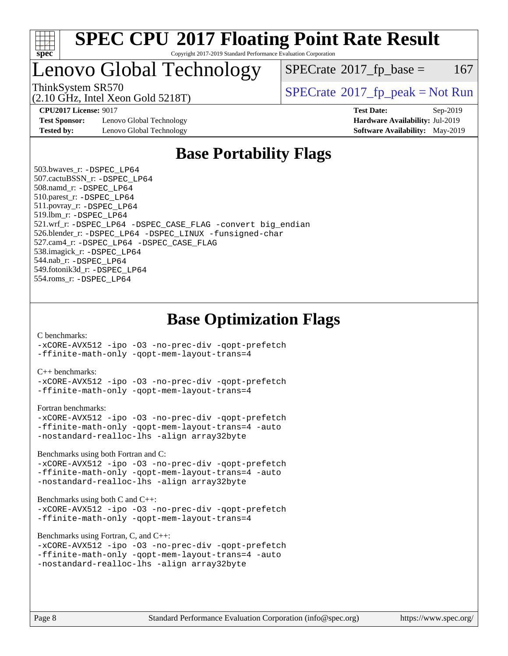

#### **[SPEC CPU](http://www.spec.org/auto/cpu2017/Docs/result-fields.html#SPECCPU2017FloatingPointRateResult)[2017 Floating Point Rate Result](http://www.spec.org/auto/cpu2017/Docs/result-fields.html#SPECCPU2017FloatingPointRateResult)** Copyright 2017-2019 Standard Performance Evaluation Corporation

### Lenovo Global Technology

 $SPECTate$ <sup>®</sup>[2017\\_fp\\_base =](http://www.spec.org/auto/cpu2017/Docs/result-fields.html#SPECrate2017fpbase) 167

(2.10 GHz, Intel Xeon Gold 5218T)

ThinkSystem SR570<br>  $\begin{array}{c}\n\text{SPECrate} \textcirc 2017\_fp\_peak = Not Run \\
\text{SPECrate} \textcirc 2017\_fp\_peak = Not Run\n\end{array}$  $\begin{array}{c}\n\text{SPECrate} \textcirc 2017\_fp\_peak = Not Run \\
\text{SPECrate} \textcirc 2017\_fp\_peak = Not Run\n\end{array}$  $\begin{array}{c}\n\text{SPECrate} \textcirc 2017\_fp\_peak = Not Run \\
\text{SPECrate} \textcirc 2017\_fp\_peak = Not Run\n\end{array}$ 

**[Test Sponsor:](http://www.spec.org/auto/cpu2017/Docs/result-fields.html#TestSponsor)** Lenovo Global Technology **[Hardware Availability:](http://www.spec.org/auto/cpu2017/Docs/result-fields.html#HardwareAvailability)** Jul-2019 **[Tested by:](http://www.spec.org/auto/cpu2017/Docs/result-fields.html#Testedby)** Lenovo Global Technology **[Software Availability:](http://www.spec.org/auto/cpu2017/Docs/result-fields.html#SoftwareAvailability)** May-2019

**[CPU2017 License:](http://www.spec.org/auto/cpu2017/Docs/result-fields.html#CPU2017License)** 9017 **[Test Date:](http://www.spec.org/auto/cpu2017/Docs/result-fields.html#TestDate)** Sep-2019

### **[Base Portability Flags](http://www.spec.org/auto/cpu2017/Docs/result-fields.html#BasePortabilityFlags)**

 503.bwaves\_r: [-DSPEC\\_LP64](http://www.spec.org/cpu2017/results/res2019q4/cpu2017-20190926-18655.flags.html#suite_basePORTABILITY503_bwaves_r_DSPEC_LP64) 507.cactuBSSN\_r: [-DSPEC\\_LP64](http://www.spec.org/cpu2017/results/res2019q4/cpu2017-20190926-18655.flags.html#suite_basePORTABILITY507_cactuBSSN_r_DSPEC_LP64) 508.namd\_r: [-DSPEC\\_LP64](http://www.spec.org/cpu2017/results/res2019q4/cpu2017-20190926-18655.flags.html#suite_basePORTABILITY508_namd_r_DSPEC_LP64) 510.parest\_r: [-DSPEC\\_LP64](http://www.spec.org/cpu2017/results/res2019q4/cpu2017-20190926-18655.flags.html#suite_basePORTABILITY510_parest_r_DSPEC_LP64) 511.povray\_r: [-DSPEC\\_LP64](http://www.spec.org/cpu2017/results/res2019q4/cpu2017-20190926-18655.flags.html#suite_basePORTABILITY511_povray_r_DSPEC_LP64) 519.lbm\_r: [-DSPEC\\_LP64](http://www.spec.org/cpu2017/results/res2019q4/cpu2017-20190926-18655.flags.html#suite_basePORTABILITY519_lbm_r_DSPEC_LP64) 521.wrf\_r: [-DSPEC\\_LP64](http://www.spec.org/cpu2017/results/res2019q4/cpu2017-20190926-18655.flags.html#suite_basePORTABILITY521_wrf_r_DSPEC_LP64) [-DSPEC\\_CASE\\_FLAG](http://www.spec.org/cpu2017/results/res2019q4/cpu2017-20190926-18655.flags.html#b521.wrf_r_baseCPORTABILITY_DSPEC_CASE_FLAG) [-convert big\\_endian](http://www.spec.org/cpu2017/results/res2019q4/cpu2017-20190926-18655.flags.html#user_baseFPORTABILITY521_wrf_r_convert_big_endian_c3194028bc08c63ac5d04de18c48ce6d347e4e562e8892b8bdbdc0214820426deb8554edfa529a3fb25a586e65a3d812c835984020483e7e73212c4d31a38223) 526.blender\_r: [-DSPEC\\_LP64](http://www.spec.org/cpu2017/results/res2019q4/cpu2017-20190926-18655.flags.html#suite_basePORTABILITY526_blender_r_DSPEC_LP64) [-DSPEC\\_LINUX](http://www.spec.org/cpu2017/results/res2019q4/cpu2017-20190926-18655.flags.html#b526.blender_r_baseCPORTABILITY_DSPEC_LINUX) [-funsigned-char](http://www.spec.org/cpu2017/results/res2019q4/cpu2017-20190926-18655.flags.html#user_baseCPORTABILITY526_blender_r_force_uchar_40c60f00ab013830e2dd6774aeded3ff59883ba5a1fc5fc14077f794d777847726e2a5858cbc7672e36e1b067e7e5c1d9a74f7176df07886a243d7cc18edfe67) 527.cam4\_r: [-DSPEC\\_LP64](http://www.spec.org/cpu2017/results/res2019q4/cpu2017-20190926-18655.flags.html#suite_basePORTABILITY527_cam4_r_DSPEC_LP64) [-DSPEC\\_CASE\\_FLAG](http://www.spec.org/cpu2017/results/res2019q4/cpu2017-20190926-18655.flags.html#b527.cam4_r_baseCPORTABILITY_DSPEC_CASE_FLAG) 538.imagick\_r: [-DSPEC\\_LP64](http://www.spec.org/cpu2017/results/res2019q4/cpu2017-20190926-18655.flags.html#suite_basePORTABILITY538_imagick_r_DSPEC_LP64) 544.nab\_r: [-DSPEC\\_LP64](http://www.spec.org/cpu2017/results/res2019q4/cpu2017-20190926-18655.flags.html#suite_basePORTABILITY544_nab_r_DSPEC_LP64) 549.fotonik3d\_r: [-DSPEC\\_LP64](http://www.spec.org/cpu2017/results/res2019q4/cpu2017-20190926-18655.flags.html#suite_basePORTABILITY549_fotonik3d_r_DSPEC_LP64) 554.roms\_r: [-DSPEC\\_LP64](http://www.spec.org/cpu2017/results/res2019q4/cpu2017-20190926-18655.flags.html#suite_basePORTABILITY554_roms_r_DSPEC_LP64)

### **[Base Optimization Flags](http://www.spec.org/auto/cpu2017/Docs/result-fields.html#BaseOptimizationFlags)**

#### [C benchmarks](http://www.spec.org/auto/cpu2017/Docs/result-fields.html#Cbenchmarks):

[-xCORE-AVX512](http://www.spec.org/cpu2017/results/res2019q4/cpu2017-20190926-18655.flags.html#user_CCbase_f-xCORE-AVX512) [-ipo](http://www.spec.org/cpu2017/results/res2019q4/cpu2017-20190926-18655.flags.html#user_CCbase_f-ipo) [-O3](http://www.spec.org/cpu2017/results/res2019q4/cpu2017-20190926-18655.flags.html#user_CCbase_f-O3) [-no-prec-div](http://www.spec.org/cpu2017/results/res2019q4/cpu2017-20190926-18655.flags.html#user_CCbase_f-no-prec-div) [-qopt-prefetch](http://www.spec.org/cpu2017/results/res2019q4/cpu2017-20190926-18655.flags.html#user_CCbase_f-qopt-prefetch) [-ffinite-math-only](http://www.spec.org/cpu2017/results/res2019q4/cpu2017-20190926-18655.flags.html#user_CCbase_f_finite_math_only_cb91587bd2077682c4b38af759c288ed7c732db004271a9512da14a4f8007909a5f1427ecbf1a0fb78ff2a814402c6114ac565ca162485bbcae155b5e4258871) [-qopt-mem-layout-trans=4](http://www.spec.org/cpu2017/results/res2019q4/cpu2017-20190926-18655.flags.html#user_CCbase_f-qopt-mem-layout-trans_fa39e755916c150a61361b7846f310bcdf6f04e385ef281cadf3647acec3f0ae266d1a1d22d972a7087a248fd4e6ca390a3634700869573d231a252c784941a8)

#### [C++ benchmarks:](http://www.spec.org/auto/cpu2017/Docs/result-fields.html#CXXbenchmarks)

[-xCORE-AVX512](http://www.spec.org/cpu2017/results/res2019q4/cpu2017-20190926-18655.flags.html#user_CXXbase_f-xCORE-AVX512) [-ipo](http://www.spec.org/cpu2017/results/res2019q4/cpu2017-20190926-18655.flags.html#user_CXXbase_f-ipo) [-O3](http://www.spec.org/cpu2017/results/res2019q4/cpu2017-20190926-18655.flags.html#user_CXXbase_f-O3) [-no-prec-div](http://www.spec.org/cpu2017/results/res2019q4/cpu2017-20190926-18655.flags.html#user_CXXbase_f-no-prec-div) [-qopt-prefetch](http://www.spec.org/cpu2017/results/res2019q4/cpu2017-20190926-18655.flags.html#user_CXXbase_f-qopt-prefetch) [-ffinite-math-only](http://www.spec.org/cpu2017/results/res2019q4/cpu2017-20190926-18655.flags.html#user_CXXbase_f_finite_math_only_cb91587bd2077682c4b38af759c288ed7c732db004271a9512da14a4f8007909a5f1427ecbf1a0fb78ff2a814402c6114ac565ca162485bbcae155b5e4258871) [-qopt-mem-layout-trans=4](http://www.spec.org/cpu2017/results/res2019q4/cpu2017-20190926-18655.flags.html#user_CXXbase_f-qopt-mem-layout-trans_fa39e755916c150a61361b7846f310bcdf6f04e385ef281cadf3647acec3f0ae266d1a1d22d972a7087a248fd4e6ca390a3634700869573d231a252c784941a8)

#### [Fortran benchmarks](http://www.spec.org/auto/cpu2017/Docs/result-fields.html#Fortranbenchmarks):

```
-xCORE-AVX512 -ipo -O3 -no-prec-div -qopt-prefetch
-ffinite-math-only -qopt-mem-layout-trans=4 -auto
-nostandard-realloc-lhs -align array32byte
```
[Benchmarks using both Fortran and C](http://www.spec.org/auto/cpu2017/Docs/result-fields.html#BenchmarksusingbothFortranandC):

```
-xCORE-AVX512 -ipo -O3 -no-prec-div -qopt-prefetch
-ffinite-math-only -qopt-mem-layout-trans=4 -auto
-nostandard-realloc-lhs -align array32byte
```
#### [Benchmarks using both C and C++](http://www.spec.org/auto/cpu2017/Docs/result-fields.html#BenchmarksusingbothCandCXX):

```
-xCORE-AVX512 -ipo -O3 -no-prec-div -qopt-prefetch
-ffinite-math-only -qopt-mem-layout-trans=4
```
[Benchmarks using Fortran, C, and C++:](http://www.spec.org/auto/cpu2017/Docs/result-fields.html#BenchmarksusingFortranCandCXX)

```
-xCORE-AVX512 -ipo -O3 -no-prec-div -qopt-prefetch
-ffinite-math-only -qopt-mem-layout-trans=4 -auto
-nostandard-realloc-lhs -align array32byte
```